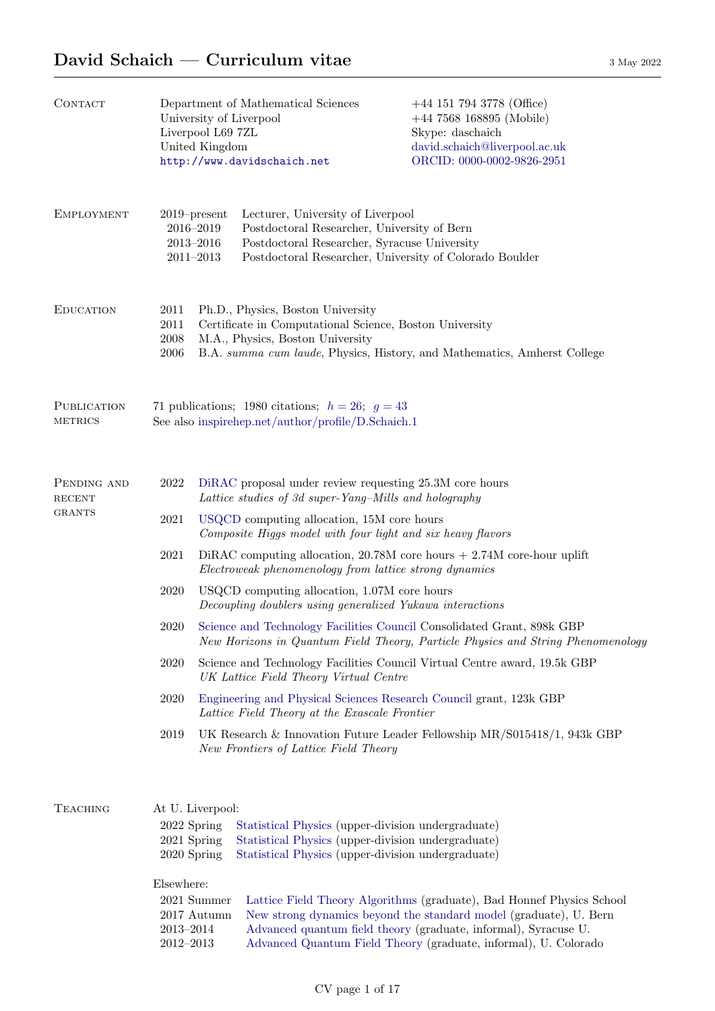# David Schaich — Curriculum vitae  $3^{May 2022}$

| <b>CONTACT</b>                                | Department of Mathematical Sciences<br>University of Liverpool<br>Liverpool L69 7ZL<br>United Kingdom<br>http://www.davidschaich.net |                                                                                                                                                                                                              |                                                                                                                                                                                             | $+44$ 151 794 3778 (Office)<br>$+44$ 7568 168895 (Mobile)<br>Skype: daschaich<br>david.schaich@liverpool.ac.uk<br>ORCID: 0000-0002-9826-2951                                                                                                                                     |  |  |
|-----------------------------------------------|--------------------------------------------------------------------------------------------------------------------------------------|--------------------------------------------------------------------------------------------------------------------------------------------------------------------------------------------------------------|---------------------------------------------------------------------------------------------------------------------------------------------------------------------------------------------|----------------------------------------------------------------------------------------------------------------------------------------------------------------------------------------------------------------------------------------------------------------------------------|--|--|
| <b>EMPLOYMENT</b>                             |                                                                                                                                      | $2019$ -present<br>2016-2019<br>$2013 - 2016$<br>$2011 - 2013$                                                                                                                                               | Lecturer, University of Liverpool<br>Postdoctoral Researcher, University of Bern<br>Postdoctoral Researcher, Syracuse University<br>Postdoctoral Researcher, University of Colorado Boulder |                                                                                                                                                                                                                                                                                  |  |  |
| <b>EDUCATION</b>                              | 2011<br>2011<br>$\,2008\,$<br>2006                                                                                                   | Ph.D., Physics, Boston University<br>Certificate in Computational Science, Boston University<br>M.A., Physics, Boston University<br>B.A. summa cum laude, Physics, History, and Mathematics, Amherst College |                                                                                                                                                                                             |                                                                                                                                                                                                                                                                                  |  |  |
| PUBLICATION<br><b>METRICS</b>                 | 71 publications; 1980 citations; $h = 26$ ; $g = 43$<br>See also inspirehep.net/author/profile/D.Schaich.1                           |                                                                                                                                                                                                              |                                                                                                                                                                                             |                                                                                                                                                                                                                                                                                  |  |  |
| PENDING AND<br><b>RECENT</b><br><b>GRANTS</b> | 2022                                                                                                                                 | DiRAC proposal under review requesting 25.3M core hours<br>Lattice studies of 3d super-Yang-Mills and holography                                                                                             |                                                                                                                                                                                             |                                                                                                                                                                                                                                                                                  |  |  |
|                                               | 2021                                                                                                                                 | USQCD computing allocation, 15M core hours<br>Composite Higgs model with four light and six heavy flavors                                                                                                    |                                                                                                                                                                                             |                                                                                                                                                                                                                                                                                  |  |  |
|                                               | 2021                                                                                                                                 | DiRAC computing allocation, $20.78M$ core hours $+2.74M$ core-hour uplift<br>Electroweak phenomenology from lattice strong dynamics                                                                          |                                                                                                                                                                                             |                                                                                                                                                                                                                                                                                  |  |  |
|                                               | 2020                                                                                                                                 | USQCD computing allocation, 1.07M core hours<br>Decoupling doublers using generalized Yukawa interactions                                                                                                    |                                                                                                                                                                                             |                                                                                                                                                                                                                                                                                  |  |  |
|                                               | 2020                                                                                                                                 | Science and Technology Facilities Council Consolidated Grant, 898k GBP<br>New Horizons in Quantum Field Theory, Particle Physics and String Phenomenology                                                    |                                                                                                                                                                                             |                                                                                                                                                                                                                                                                                  |  |  |
|                                               | 2020                                                                                                                                 |                                                                                                                                                                                                              | UK Lattice Field Theory Virtual Centre                                                                                                                                                      | Science and Technology Facilities Council Virtual Centre award, 19.5k GBP                                                                                                                                                                                                        |  |  |
|                                               | 2020                                                                                                                                 |                                                                                                                                                                                                              | Lattice Field Theory at the Exascale Frontier                                                                                                                                               | Engineering and Physical Sciences Research Council grant, 123k GBP                                                                                                                                                                                                               |  |  |
|                                               | UK Research & Innovation Future Leader Fellowship $MR/S015418/1$ , 943k GBP<br>2019<br>New Frontiers of Lattice Field Theory         |                                                                                                                                                                                                              |                                                                                                                                                                                             |                                                                                                                                                                                                                                                                                  |  |  |
| <b>TEACHING</b>                               | 2022 Spring<br>2021 Spring<br>2020 Spring<br>Elsewhere:<br>$2013 - 2014$<br>$2012 - 2013$                                            | At U. Liverpool:<br>2021 Summer<br>2017 Autumn                                                                                                                                                               | Statistical Physics (upper-division undergraduate)<br>Statistical Physics (upper-division undergraduate)<br>Statistical Physics (upper-division undergraduate)                              | Lattice Field Theory Algorithms (graduate), Bad Honnef Physics School<br>New strong dynamics beyond the standard model (graduate), U. Bern<br>Advanced quantum field theory (graduate, informal), Syracuse U.<br>Advanced Quantum Field Theory (graduate, informal), U. Colorado |  |  |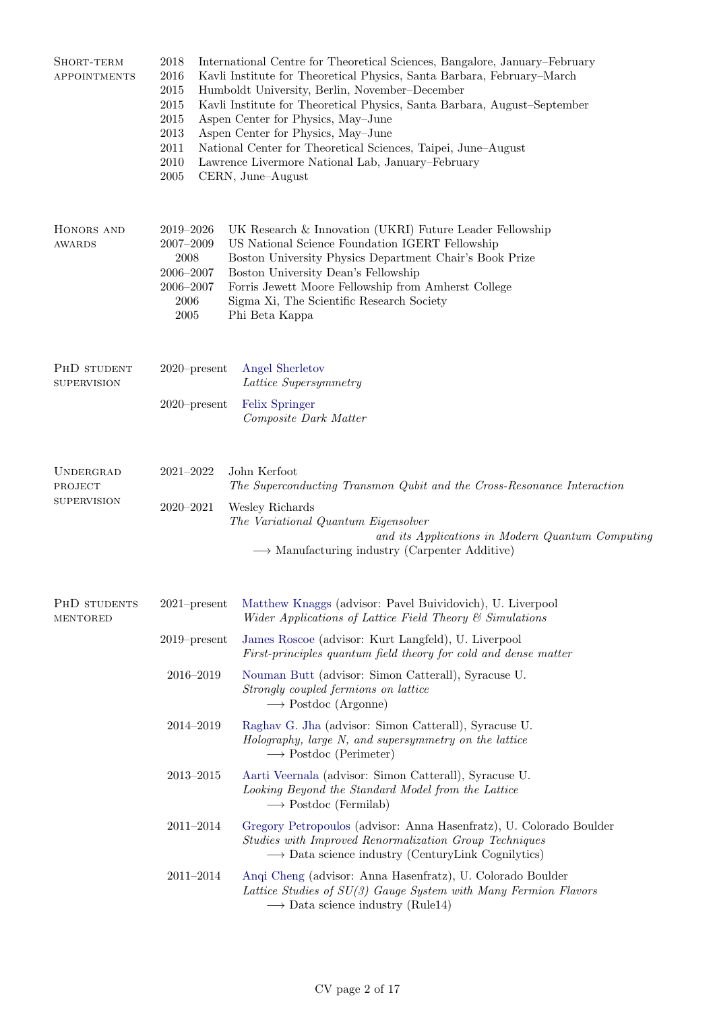| SHORT-TERM<br><b>APPOINTMENTS</b>                 | 2018<br>2016<br>2015<br>2015<br>2015<br>2013<br>2011<br>$2010\,$<br>$\,2005\,$ | International Centre for Theoretical Sciences, Bangalore, January–February<br>Kavli Institute for Theoretical Physics, Santa Barbara, February–March<br>Humboldt University, Berlin, November-December<br>Kavli Institute for Theoretical Physics, Santa Barbara, August-September<br>Aspen Center for Physics, May-June<br>Aspen Center for Physics, May-June<br>National Center for Theoretical Sciences, Taipei, June-August<br>Lawrence Livermore National Lab, January-February<br>CERN, June-August |  |  |
|---------------------------------------------------|--------------------------------------------------------------------------------|-----------------------------------------------------------------------------------------------------------------------------------------------------------------------------------------------------------------------------------------------------------------------------------------------------------------------------------------------------------------------------------------------------------------------------------------------------------------------------------------------------------|--|--|
| HONORS AND<br><b>AWARDS</b>                       | 2019-2026<br>$2007 - 2009$<br>2008<br>2006-2007<br>2006-2007<br>2006<br>2005   | UK Research & Innovation (UKRI) Future Leader Fellowship<br>US National Science Foundation IGERT Fellowship<br>Boston University Physics Department Chair's Book Prize<br>Boston University Dean's Fellowship<br>Forris Jewett Moore Fellowship from Amherst College<br>Sigma Xi, The Scientific Research Society<br>Phi Beta Kappa                                                                                                                                                                       |  |  |
| PHD STUDENT<br><b>SUPERVISION</b>                 | $2020$ -present                                                                | Angel Sherletov<br>Lattice Supersymmetry                                                                                                                                                                                                                                                                                                                                                                                                                                                                  |  |  |
|                                                   | $2020$ -present                                                                | Felix Springer<br>Composite Dark Matter                                                                                                                                                                                                                                                                                                                                                                                                                                                                   |  |  |
| <b>UNDERGRAD</b><br>PROJECT<br><b>SUPERVISION</b> | $2021 - 2022$<br>$2020 - 2021$                                                 | John Kerfoot<br>The Superconducting Transmon Qubit and the Cross-Resonance Interaction<br>Wesley Richards<br>The Variational Quantum Eigensolver<br>and its Applications in Modern Quantum Computing<br>$\longrightarrow$ Manufacturing industry (Carpenter Additive)                                                                                                                                                                                                                                     |  |  |
| PHD STUDENTS<br><b>MENTORED</b>                   | $2021$ -present                                                                | Matthew Knaggs (advisor: Pavel Buividovich), U. Liverpool<br>Wider Applications of Lattice Field Theory $\mathcal C$ Simulations                                                                                                                                                                                                                                                                                                                                                                          |  |  |
|                                                   | $2019$ -present                                                                | James Roscoe (advisor: Kurt Langfeld), U. Liverpool<br>First-principles quantum field theory for cold and dense matter                                                                                                                                                                                                                                                                                                                                                                                    |  |  |
|                                                   | 2016-2019                                                                      | Nouman Butt (advisor: Simon Catterall), Syracuse U.<br>Strongly coupled fermions on lattice<br>$\longrightarrow$ Postdoc (Argonne)                                                                                                                                                                                                                                                                                                                                                                        |  |  |
|                                                   | 2014-2019                                                                      | Raghav G. Jha (advisor: Simon Catterall), Syracuse U.<br>Holography, large N, and supersymmetry on the lattice<br>$\longrightarrow$ Postdoc (Perimeter)                                                                                                                                                                                                                                                                                                                                                   |  |  |
|                                                   | $2013 - 2015$                                                                  | Aarti Veernala (advisor: Simon Catterall), Syracuse U.<br>Looking Beyond the Standard Model from the Lattice<br>$\longrightarrow$ Postdoc (Fermilab)                                                                                                                                                                                                                                                                                                                                                      |  |  |
|                                                   | $2011 - 2014$                                                                  | Gregory Petropoulos (advisor: Anna Hasenfratz), U. Colorado Boulder<br>Studies with Improved Renormalization Group Techniques<br>$\rightarrow$ Data science industry (CenturyLink Cognilytics)                                                                                                                                                                                                                                                                                                            |  |  |
|                                                   | $2011 - 2014$                                                                  | Angi Cheng (advisor: Anna Hasenfratz), U. Colorado Boulder<br>Lattice Studies of SU(3) Gauge System with Many Fermion Flavors<br>$\longrightarrow$ Data science industry (Rule14)                                                                                                                                                                                                                                                                                                                         |  |  |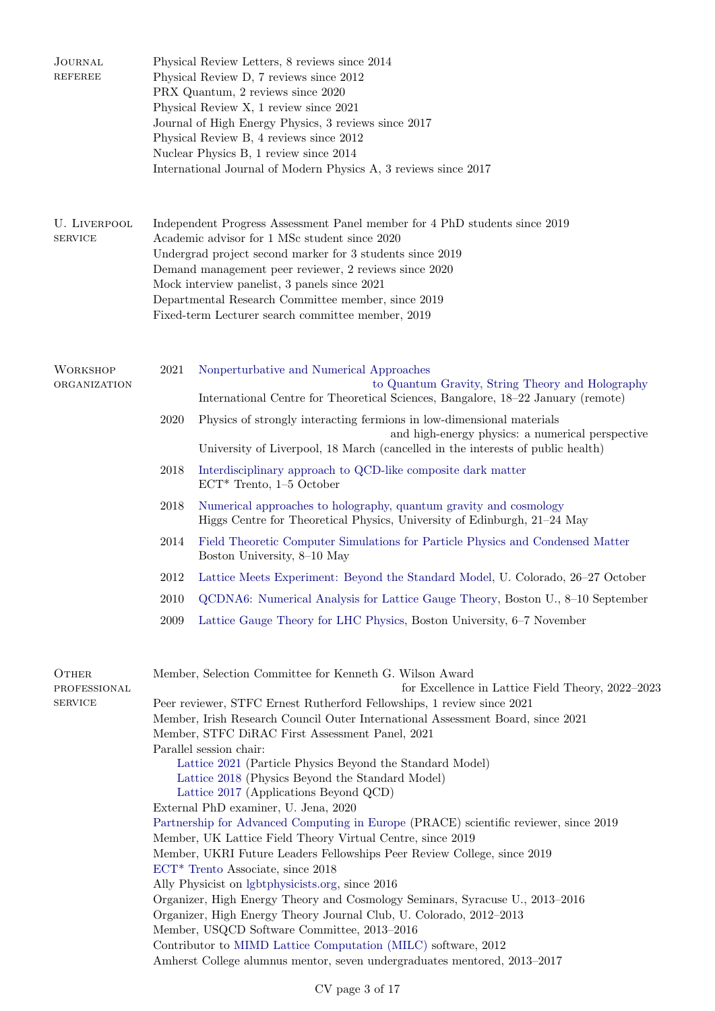| JOURNAL<br><b>REFEREE</b>               | Physical Review Letters, 8 reviews since 2014<br>Physical Review D, 7 reviews since 2012<br>PRX Quantum, 2 reviews since 2020<br>Physical Review X, 1 review since 2021<br>Journal of High Energy Physics, 3 reviews since 2017<br>Physical Review B, 4 reviews since 2012<br>Nuclear Physics B, 1 review since 2014<br>International Journal of Modern Physics A, 3 reviews since 2017                                                                                                                                                                                                                                                                                                                                                                                                                                                                                                                                                                                                                                                                                                                                                                                                                                                   |  |  |  |  |
|-----------------------------------------|-------------------------------------------------------------------------------------------------------------------------------------------------------------------------------------------------------------------------------------------------------------------------------------------------------------------------------------------------------------------------------------------------------------------------------------------------------------------------------------------------------------------------------------------------------------------------------------------------------------------------------------------------------------------------------------------------------------------------------------------------------------------------------------------------------------------------------------------------------------------------------------------------------------------------------------------------------------------------------------------------------------------------------------------------------------------------------------------------------------------------------------------------------------------------------------------------------------------------------------------|--|--|--|--|
| U. LIVERPOOL<br><b>SERVICE</b>          | Independent Progress Assessment Panel member for 4 PhD students since 2019<br>Academic advisor for 1 MSc student since 2020<br>Undergrad project second marker for 3 students since 2019<br>Demand management peer reviewer, 2 reviews since 2020<br>Mock interview panelist, 3 panels since 2021<br>Departmental Research Committee member, since 2019<br>Fixed-term Lecturer search committee member, 2019                                                                                                                                                                                                                                                                                                                                                                                                                                                                                                                                                                                                                                                                                                                                                                                                                              |  |  |  |  |
| <b>WORKSHOP</b><br>ORGANIZATION         | 2021<br>Nonperturbative and Numerical Approaches<br>to Quantum Gravity, String Theory and Holography<br>International Centre for Theoretical Sciences, Bangalore, 18-22 January (remote)                                                                                                                                                                                                                                                                                                                                                                                                                                                                                                                                                                                                                                                                                                                                                                                                                                                                                                                                                                                                                                                  |  |  |  |  |
|                                         | 2020<br>Physics of strongly interacting fermions in low-dimensional materials<br>and high-energy physics: a numerical perspective<br>University of Liverpool, 18 March (cancelled in the interests of public health)                                                                                                                                                                                                                                                                                                                                                                                                                                                                                                                                                                                                                                                                                                                                                                                                                                                                                                                                                                                                                      |  |  |  |  |
|                                         | 2018<br>Interdisciplinary approach to QCD-like composite dark matter<br>$ECT^*$ Trento, 1–5 October                                                                                                                                                                                                                                                                                                                                                                                                                                                                                                                                                                                                                                                                                                                                                                                                                                                                                                                                                                                                                                                                                                                                       |  |  |  |  |
|                                         | 2018<br>Numerical approaches to holography, quantum gravity and cosmology<br>Higgs Centre for Theoretical Physics, University of Edinburgh, 21–24 May                                                                                                                                                                                                                                                                                                                                                                                                                                                                                                                                                                                                                                                                                                                                                                                                                                                                                                                                                                                                                                                                                     |  |  |  |  |
|                                         | 2014<br>Field Theoretic Computer Simulations for Particle Physics and Condensed Matter<br>Boston University, 8-10 May                                                                                                                                                                                                                                                                                                                                                                                                                                                                                                                                                                                                                                                                                                                                                                                                                                                                                                                                                                                                                                                                                                                     |  |  |  |  |
|                                         | 2012<br>Lattice Meets Experiment: Beyond the Standard Model, U. Colorado, 26–27 October                                                                                                                                                                                                                                                                                                                                                                                                                                                                                                                                                                                                                                                                                                                                                                                                                                                                                                                                                                                                                                                                                                                                                   |  |  |  |  |
|                                         | QCDNA6: Numerical Analysis for Lattice Gauge Theory, Boston U., 8-10 September<br>2010                                                                                                                                                                                                                                                                                                                                                                                                                                                                                                                                                                                                                                                                                                                                                                                                                                                                                                                                                                                                                                                                                                                                                    |  |  |  |  |
|                                         | 2009<br>Lattice Gauge Theory for LHC Physics, Boston University, 6–7 November                                                                                                                                                                                                                                                                                                                                                                                                                                                                                                                                                                                                                                                                                                                                                                                                                                                                                                                                                                                                                                                                                                                                                             |  |  |  |  |
| OTHER<br>PROFESSIONAL<br><b>SERVICE</b> | Member, Selection Committee for Kenneth G. Wilson Award<br>for Excellence in Lattice Field Theory, 2022-2023<br>Peer reviewer, STFC Ernest Rutherford Fellowships, 1 review since 2021<br>Member, Irish Research Council Outer International Assessment Board, since 2021<br>Member, STFC DiRAC First Assessment Panel, 2021<br>Parallel session chair:<br>Lattice 2021 (Particle Physics Beyond the Standard Model)<br>Lattice 2018 (Physics Beyond the Standard Model)<br>Lattice 2017 (Applications Beyond QCD)<br>External PhD examiner, U. Jena, 2020<br>Partnership for Advanced Computing in Europe (PRACE) scientific reviewer, since 2019<br>Member, UK Lattice Field Theory Virtual Centre, since 2019<br>Member, UKRI Future Leaders Fellowships Peer Review College, since 2019<br>$ECT^*$ Trento Associate, since 2018<br>Ally Physicist on lgbtphysicists.org, since 2016<br>Organizer, High Energy Theory and Cosmology Seminars, Syracuse U., 2013-2016<br>Organizer, High Energy Theory Journal Club, U. Colorado, 2012-2013<br>Member, USQCD Software Committee, 2013-2016<br>Contributor to MIMD Lattice Computation (MILC) software, 2012<br>Amherst College alumnus mentor, seven undergraduates mentored, 2013-2017 |  |  |  |  |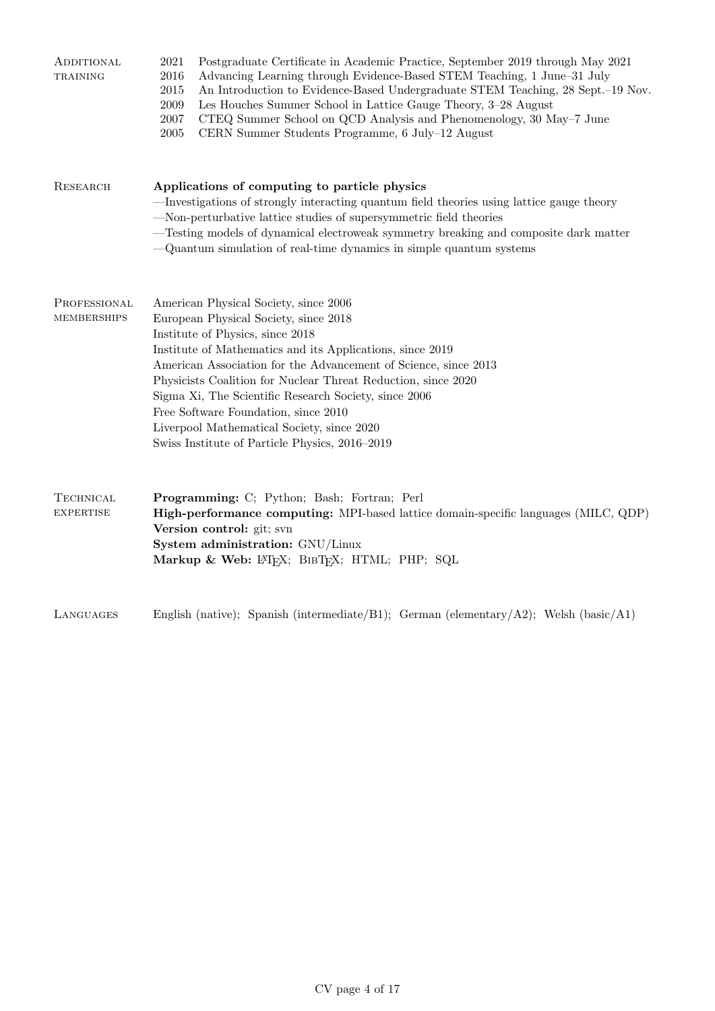| ADDITIONAL<br>TRAINING               | Postgraduate Certificate in Academic Practice, September 2019 through May 2021<br>2021<br>2016<br>Advancing Learning through Evidence-Based STEM Teaching, 1 June-31 July<br>An Introduction to Evidence-Based Undergraduate STEM Teaching, 28 Sept.-19 Nov.<br>2015<br>$\,2009\,$<br>Les Houches Summer School in Lattice Gauge Theory, 3-28 August<br>2007<br>CTEQ Summer School on QCD Analysis and Phenomenology, 30 May–7 June<br>2005<br>CERN Summer Students Programme, 6 July-12 August                      |  |  |  |  |
|--------------------------------------|----------------------------------------------------------------------------------------------------------------------------------------------------------------------------------------------------------------------------------------------------------------------------------------------------------------------------------------------------------------------------------------------------------------------------------------------------------------------------------------------------------------------|--|--|--|--|
| RESEARCH                             | Applications of computing to particle physics<br>-Investigations of strongly interacting quantum field theories using lattice gauge theory<br>-Non-perturbative lattice studies of supersymmetric field theories<br>-Testing models of dynamical electroweak symmetry breaking and composite dark matter<br>-Quantum simulation of real-time dynamics in simple quantum systems                                                                                                                                      |  |  |  |  |
| PROFESSIONAL<br>MEMBERSHIPS          | American Physical Society, since 2006<br>European Physical Society, since 2018<br>Institute of Physics, since 2018<br>Institute of Mathematics and its Applications, since 2019<br>American Association for the Advancement of Science, since 2013<br>Physicists Coalition for Nuclear Threat Reduction, since 2020<br>Sigma Xi, The Scientific Research Society, since 2006<br>Free Software Foundation, since 2010<br>Liverpool Mathematical Society, since 2020<br>Swiss Institute of Particle Physics, 2016-2019 |  |  |  |  |
| <b>TECHNICAL</b><br><b>EXPERTISE</b> | Programming: C; Python; Bash; Fortran; Perl<br>High-performance computing: MPI-based lattice domain-specific languages (MILC, QDP)<br>Version control: git; svn<br>System administration: GNU/Linux<br>Markup & Web: LATFX; BIBTFX; HTML; PHP; SQL                                                                                                                                                                                                                                                                   |  |  |  |  |
| LANGUAGES                            | English (native); Spanish (intermediate/B1); German (elementary/A2); Welsh (basic/A1)                                                                                                                                                                                                                                                                                                                                                                                                                                |  |  |  |  |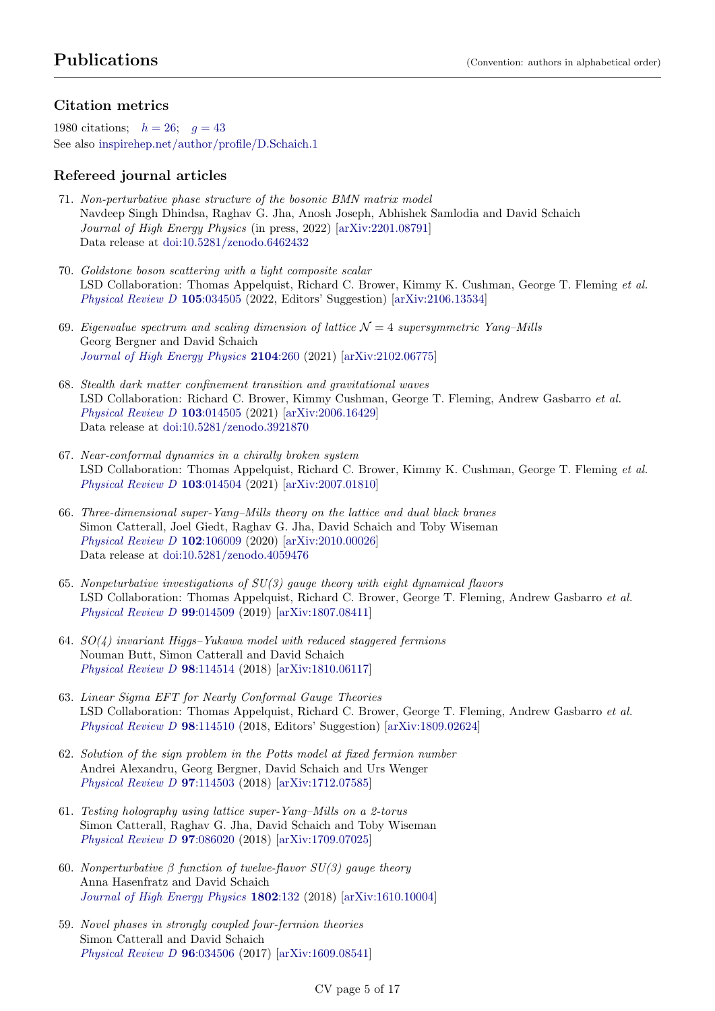## Citation metrics

1980 citations;  $h = 26$ ;  $q = 43$  $q = 43$ See also [inspirehep.net/author/profile/D.Schaich.1](http://inspirehep.net/author/profile/D.Schaich.1)

## Refereed journal articles

- 71. Non-perturbative phase structure of the bosonic BMN matrix model Navdeep Singh Dhindsa, Raghav G. Jha, Anosh Joseph, Abhishek Samlodia and David Schaich Journal of High Energy Physics (in press, 2022) [\[arXiv:2201.08791\]](http://arxiv.org/abs/2201.08791) Data release at [doi:10.5281/zenodo.6462432](https://doi.org/10.5281/zenodo.6462432)
- 70. Goldstone boson scattering with a light composite scalar LSD Collaboration: Thomas Appelquist, Richard C. Brower, Kimmy K. Cushman, George T. Fleming et al. [Physical Review D](https://doi.org/10.1103/PhysRevD.105.034505) 105:034505 (2022, Editors' Suggestion) [\[arXiv:2106.13534\]](http://arxiv.org/abs/2106.13534)
- 69. Eigenvalue spectrum and scaling dimension of lattice  $\mathcal{N}=4$  supersymmetric Yang–Mills Georg Bergner and David Schaich [Journal of High Energy Physics](https://doi.org/10.1007/JHEP04(2021)260) 2104:260 (2021) [\[arXiv:2102.06775\]](http://arxiv.org/abs/2102.06775)
- 68. Stealth dark matter confinement transition and gravitational waves LSD Collaboration: Richard C. Brower, Kimmy Cushman, George T. Fleming, Andrew Gasbarro et al. [Physical Review D](https://doi.org/10.1103/PhysRevD.103.014505) 103:014505 (2021) [\[arXiv:2006.16429\]](http://arxiv.org/abs/2006.16429) Data release at [doi:10.5281/zenodo.3921870](https://doi.org/10.5281/zenodo.3921870)
- 67. Near-conformal dynamics in a chirally broken system LSD Collaboration: Thomas Appelquist, Richard C. Brower, Kimmy K. Cushman, George T. Fleming et al. [Physical Review D](https://doi.org/10.1103/PhysRevD.103.014504) 103:014504 (2021) [\[arXiv:2007.01810\]](http://arxiv.org/abs/2007.01810)
- 66. Three-dimensional super-Yang–Mills theory on the lattice and dual black branes Simon Catterall, Joel Giedt, Raghav G. Jha, David Schaich and Toby Wiseman [Physical Review D](https://doi.org/10.1103/PhysRevD.102.106009) 102:106009 (2020) [\[arXiv:2010.00026\]](http://arxiv.org/abs/2010.00026) Data release at [doi:10.5281/zenodo.4059476](https://doi.org/10.5281/zenodo.4059476)
- 65. Nonpeturbative investigations of  $SU(3)$  gauge theory with eight dynamical flavors LSD Collaboration: Thomas Appelquist, Richard C. Brower, George T. Fleming, Andrew Gasbarro et al. [Physical Review D](https://doi.org/10.1103/PhysRevD.99.014509) 99:014509 (2019) [\[arXiv:1807.08411\]](http://arxiv.org/abs/1807.08411)
- 64.  $SO(4)$  invariant Higgs–Yukawa model with reduced staggered fermions Nouman Butt, Simon Catterall and David Schaich [Physical Review D](https://doi.org/10.1103/PhysRevD.98.114514) 98:114514 (2018) [\[arXiv:1810.06117\]](http://arxiv.org/abs/1810.06117)
- 63. Linear Sigma EFT for Nearly Conformal Gauge Theories LSD Collaboration: Thomas Appelquist, Richard C. Brower, George T. Fleming, Andrew Gasbarro et al. [Physical Review D](https://doi.org/10.1103/PhysRevD.98.114510) 98:114510 (2018, Editors' Suggestion) [\[arXiv:1809.02624\]](http://arxiv.org/abs/1809.02624)
- 62. Solution of the sign problem in the Potts model at fixed fermion number Andrei Alexandru, Georg Bergner, David Schaich and Urs Wenger [Physical Review D](https://doi.org/10.1103/PhysRevD.97.114503) 97:114503 (2018) [\[arXiv:1712.07585\]](http://arxiv.org/abs/1712.07585)
- 61. Testing holography using lattice super-Yang–Mills on a 2-torus Simon Catterall, Raghav G. Jha, David Schaich and Toby Wiseman [Physical Review D](https://doi.org/10.1103/PhysRevD.97.086020) 97:086020 (2018) [\[arXiv:1709.07025\]](http://arxiv.org/abs/1709.07025)
- 60. Nonperturbative  $\beta$  function of twelve-flavor  $SU(3)$  gauge theory Anna Hasenfratz and David Schaich [Journal of High Energy Physics](https://doi.org/10.1007/JHEP02(2018)132) 1802:132 (2018) [\[arXiv:1610.10004\]](http://arxiv.org/abs/1610.10004)
- 59. Novel phases in strongly coupled four-fermion theories Simon Catterall and David Schaich [Physical Review D](https://doi.org/10.1103/PhysRevD.96.034506) 96:034506 (2017) [\[arXiv:1609.08541\]](http://arxiv.org/abs/1609.08541)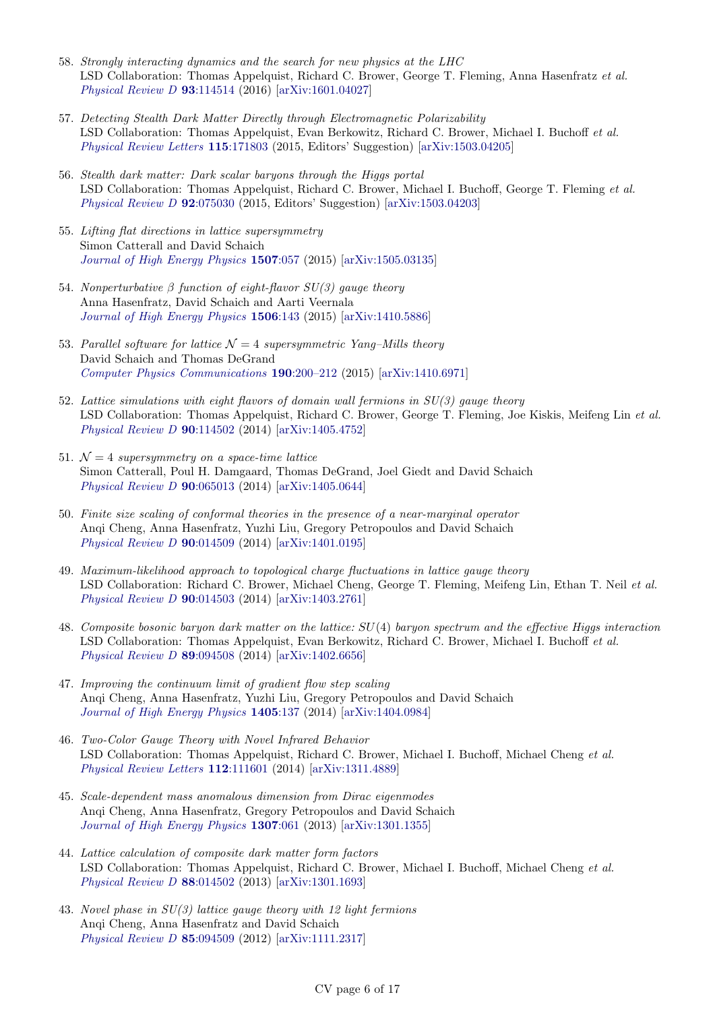- 58. Strongly interacting dynamics and the search for new physics at the LHC LSD Collaboration: Thomas Appelquist, Richard C. Brower, George T. Fleming, Anna Hasenfratz et al. [Physical Review D](https://doi.org/10.1103/PhysRevD.93.114514) 93:114514 (2016) [\[arXiv:1601.04027\]](http://arxiv.org/abs/1601.04027)
- 57. Detecting Stealth Dark Matter Directly through Electromagnetic Polarizability LSD Collaboration: Thomas Appelquist, Evan Berkowitz, Richard C. Brower, Michael I. Buchoff et al. [Physical Review Letters](https://doi.org/10.1103/PhysRevLett.115.171803) 115:171803 (2015, Editors' Suggestion) [\[arXiv:1503.04205\]](http://arxiv.org/abs/1503.04205)
- 56. Stealth dark matter: Dark scalar baryons through the Higgs portal LSD Collaboration: Thomas Appelquist, Richard C. Brower, Michael I. Buchoff, George T. Fleming et al. [Physical Review D](https://doi.org/10.1103/PhysRevD.92.075030) 92:075030 (2015, Editors' Suggestion) [\[arXiv:1503.04203\]](http://arxiv.org/abs/1503.04203)
- 55. Lifting flat directions in lattice supersymmetry Simon Catterall and David Schaich [Journal of High Energy Physics](https://doi.org/10.1007/JHEP07(2015)057) 1507:057 (2015) [\[arXiv:1505.03135\]](http://arxiv.org/abs/1505.03135)
- 54. Nonperturbative  $\beta$  function of eight-flavor  $SU(3)$  gauge theory Anna Hasenfratz, David Schaich and Aarti Veernala [Journal of High Energy Physics](https://doi.org/10.1007/JHEP06(2015)143) 1506:143 (2015) [\[arXiv:1410.5886\]](http://arxiv.org/abs/1410.5886)
- 53. Parallel software for lattice  $\mathcal{N} = 4$  supersymmetric Yang–Mills theory David Schaich and Thomas DeGrand [Computer Physics Communications](https://doi.org/10.1016/j.cpc.2014.12.025) 190:200–212 (2015) [\[arXiv:1410.6971\]](http://arxiv.org/abs/1410.6971)
- 52. Lattice simulations with eight flavors of domain wall fermions in  $SU(3)$  gauge theory LSD Collaboration: Thomas Appelquist, Richard C. Brower, George T. Fleming, Joe Kiskis, Meifeng Lin et al. [Physical Review D](https://doi.org/10.1103/PhysRevD.90.114502) 90:114502 (2014) [\[arXiv:1405.4752\]](http://arxiv.org/abs/1405.4752)
- 51.  $\mathcal{N}=4$  supersymmetry on a space-time lattice Simon Catterall, Poul H. Damgaard, Thomas DeGrand, Joel Giedt and David Schaich [Physical Review D](https://doi.org/10.1103/PhysRevD.90.065013) 90:065013 (2014) [\[arXiv:1405.0644\]](http://arxiv.org/abs/1405.0644)
- 50. Finite size scaling of conformal theories in the presence of a near-marginal operator Anqi Cheng, Anna Hasenfratz, Yuzhi Liu, Gregory Petropoulos and David Schaich [Physical Review D](https://doi.org/10.1103/PhysRevD.90.014509) 90:014509 (2014) [\[arXiv:1401.0195\]](http://arxiv.org/abs/1401.0195)
- 49. Maximum-likelihood approach to topological charge fluctuations in lattice gauge theory LSD Collaboration: Richard C. Brower, Michael Cheng, George T. Fleming, Meifeng Lin, Ethan T. Neil et al. [Physical Review D](https://doi.org/10.1103/PhysRevD.90.014503) 90:014503 (2014) [\[arXiv:1403.2761\]](http://arxiv.org/abs/1403.2761)
- 48. Composite bosonic baryon dark matter on the lattice: SU(4) baryon spectrum and the effective Higgs interaction LSD Collaboration: Thomas Appelquist, Evan Berkowitz, Richard C. Brower, Michael I. Buchoff et al. [Physical Review D](https://doi.org/10.1103/PhysRevD.89.094508) 89:094508 (2014) [\[arXiv:1402.6656\]](http://arxiv.org/abs/1402.6656)
- 47. Improving the continuum limit of gradient flow step scaling Anqi Cheng, Anna Hasenfratz, Yuzhi Liu, Gregory Petropoulos and David Schaich [Journal of High Energy Physics](https://doi.org/10.1007/JHEP05(2014)137) 1405:137 (2014) [\[arXiv:1404.0984\]](http://arxiv.org/abs/1404.0984)
- 46. Two-Color Gauge Theory with Novel Infrared Behavior LSD Collaboration: Thomas Appelquist, Richard C. Brower, Michael I. Buchoff, Michael Cheng et al. [Physical Review Letters](https://doi.org/10.1103/PhysRevLett.112.111601) 112:111601 (2014) [\[arXiv:1311.4889\]](http://arxiv.org/abs/1311.4889)
- 45. Scale-dependent mass anomalous dimension from Dirac eigenmodes Anqi Cheng, Anna Hasenfratz, Gregory Petropoulos and David Schaich [Journal of High Energy Physics](https://doi.org/10.1007/JHEP07(2013)061) 1307:061 (2013) [\[arXiv:1301.1355\]](http://arxiv.org/abs/1301.1355)
- 44. Lattice calculation of composite dark matter form factors LSD Collaboration: Thomas Appelquist, Richard C. Brower, Michael I. Buchoff, Michael Cheng et al. [Physical Review D](https://doi.org/10.1103/PhysRevD.88.014502) 88:014502 (2013) [\[arXiv:1301.1693\]](http://arxiv.org/abs/1301.1693)
- 43. Novel phase in SU(3) lattice gauge theory with 12 light fermions Anqi Cheng, Anna Hasenfratz and David Schaich [Physical Review D](https://doi.org/10.1103/PhysRevD.85.094509) 85:094509 (2012) [\[arXiv:1111.2317\]](http://arxiv.org/abs/1111.2317)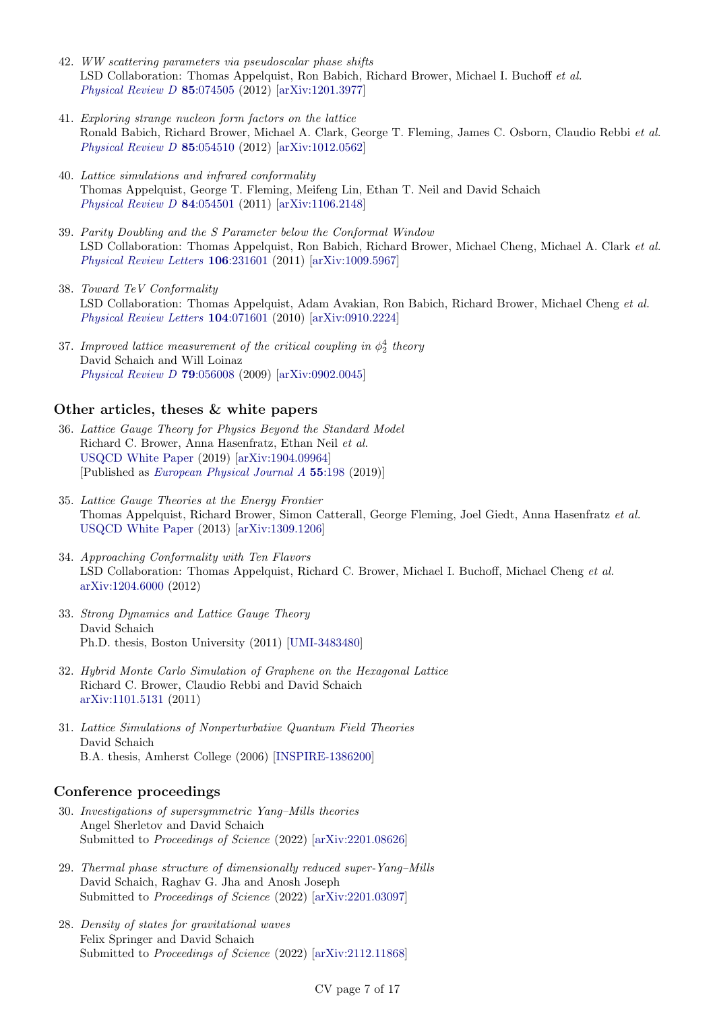- 42. WW scattering parameters via pseudoscalar phase shifts LSD Collaboration: Thomas Appelquist, Ron Babich, Richard Brower, Michael I. Buchoff et al. [Physical Review D](https://doi.org/10.1103/PhysRevD.85.074505) 85:074505 (2012) [\[arXiv:1201.3977\]](http://arxiv.org/abs/1201.3977)
- 41. Exploring strange nucleon form factors on the lattice Ronald Babich, Richard Brower, Michael A. Clark, George T. Fleming, James C. Osborn, Claudio Rebbi et al. [Physical Review D](https://doi.org/10.1103/PhysRevD.85.054510) 85:054510 (2012) [\[arXiv:1012.0562\]](http://arxiv.org/abs/1012.0562)
- 40. Lattice simulations and infrared conformality Thomas Appelquist, George T. Fleming, Meifeng Lin, Ethan T. Neil and David Schaich [Physical Review D](https://doi.org/10.1103/PhysRevD.84.054501) 84:054501 (2011) [\[arXiv:1106.2148\]](http://arxiv.org/abs/1106.2148)
- 39. Parity Doubling and the S Parameter below the Conformal Window LSD Collaboration: Thomas Appelquist, Ron Babich, Richard Brower, Michael Cheng, Michael A. Clark et al. [Physical Review Letters](https://doi.org/10.1103/PhysRevLett.106.231601) 106:231601 (2011) [\[arXiv:1009.5967\]](http://arxiv.org/abs/1009.5967)
- 38. Toward TeV Conformality LSD Collaboration: Thomas Appelquist, Adam Avakian, Ron Babich, Richard Brower, Michael Cheng et al. [Physical Review Letters](https://doi.org/10.1103/PhysRevLett.104.071601) 104:071601 (2010) [\[arXiv:0910.2224\]](http://arxiv.org/abs/0910.2224)
- 37. Improved lattice measurement of the critical coupling in  $\phi_2^4$  theory David Schaich and Will Loinaz [Physical Review D](https://doi.org/10.1103/PhysRevD.79.056008) 79:056008 (2009) [\[arXiv:0902.0045\]](http://arxiv.org/abs/0902.0045)

#### Other articles, theses & white papers

- 36. Lattice Gauge Theory for Physics Beyond the Standard Model Richard C. Brower, Anna Hasenfratz, Ethan Neil et al. [USQCD White Paper](http://home.fnal.gov/~ask/USQCD/members/WP/BSMwhitepaper2018.pdf) (2019) [\[arXiv:1904.09964\]](http://arxiv.org/abs/1904.09964) [Published as [European Physical Journal A](http://doi.org/10.1140/epja/i2019-12901-5) 55:198 (2019)]
- 35. Lattice Gauge Theories at the Energy Frontier Thomas Appelquist, Richard Brower, Simon Catterall, George Fleming, Joel Giedt, Anna Hasenfratz et al. [USQCD White Paper](http://www.usqcd.org/documents/13BSM.pdf) (2013) [\[arXiv:1309.1206\]](http://arxiv.org/abs/1309.1206)
- 34. Approaching Conformality with Ten Flavors LSD Collaboration: Thomas Appelquist, Richard C. Brower, Michael I. Buchoff, Michael Cheng et al. [arXiv:1204.6000](http://arxiv.org/abs/1204.6000) (2012)
- 33. Strong Dynamics and Lattice Gauge Theory David Schaich Ph.D. thesis, Boston University (2011) [\[UMI-3483480\]](http://gradworks.umi.com/34/83/3483480.html)
- 32. Hybrid Monte Carlo Simulation of Graphene on the Hexagonal Lattice Richard C. Brower, Claudio Rebbi and David Schaich [arXiv:1101.5131](http://arxiv.org/abs/1101.5131) (2011)
- 31. Lattice Simulations of Nonperturbative Quantum Field Theories David Schaich B.A. thesis, Amherst College (2006) [\[INSPIRE-1386200\]](http://inspirehep.net/record/1386200)

#### Conference proceedings

- 30. Investigations of supersymmetric Yang–Mills theories Angel Sherletov and David Schaich Submitted to Proceedings of Science (2022) [\[arXiv:2201.08626\]](http://arxiv.org/abs/2201.08626)
- 29. Thermal phase structure of dimensionally reduced super-Yang–Mills David Schaich, Raghav G. Jha and Anosh Joseph Submitted to Proceedings of Science (2022) [\[arXiv:2201.03097\]](http://arxiv.org/abs/2201.03097)
- 28. Density of states for gravitational waves Felix Springer and David Schaich Submitted to Proceedings of Science (2022) [\[arXiv:2112.11868\]](http://arxiv.org/abs/2112.11868)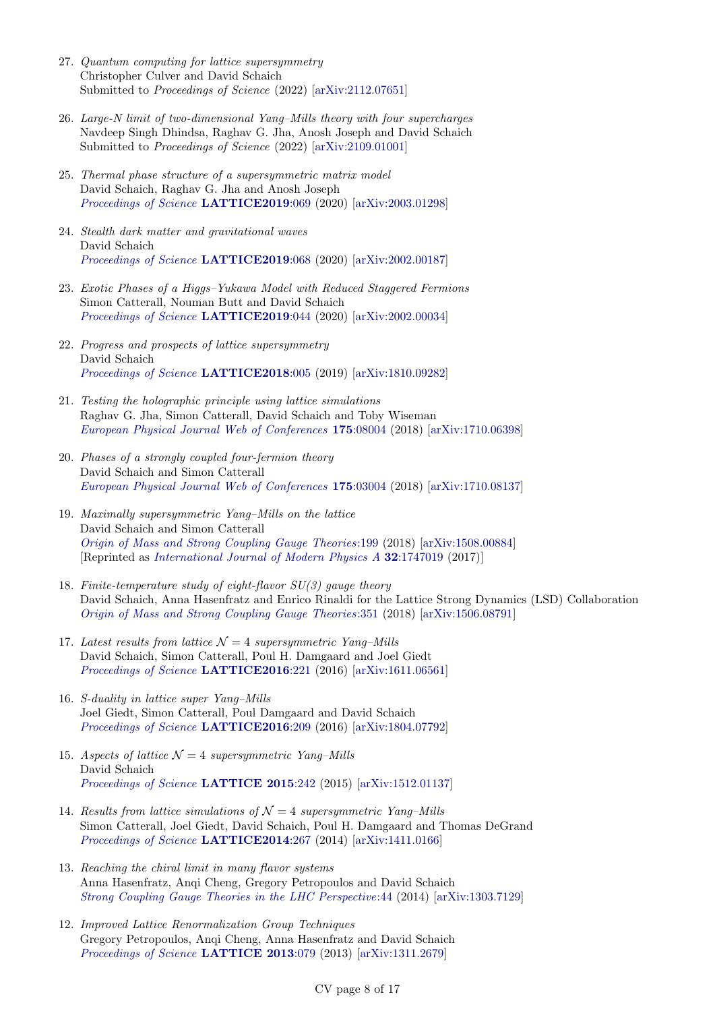- 27. Quantum computing for lattice supersymmetry Christopher Culver and David Schaich Submitted to Proceedings of Science (2022) [\[arXiv:2112.07651\]](http://arxiv.org/abs/2112.07651)
- 26. Large-N limit of two-dimensional Yang–Mills theory with four supercharges Navdeep Singh Dhindsa, Raghav G. Jha, Anosh Joseph and David Schaich Submitted to Proceedings of Science (2022) [\[arXiv:2109.01001\]](http://arxiv.org/abs/2109.01001)
- 25. Thermal phase structure of a supersymmetric matrix model David Schaich, Raghav G. Jha and Anosh Joseph [Proceedings of Science](https://doi.org/10.22323/1.363.0069) LATTICE2019:069 (2020) [\[arXiv:2003.01298\]](http://arxiv.org/abs/2003.01298)
- 24. Stealth dark matter and gravitational waves David Schaich [Proceedings of Science](https://doi.org/10.22323/1.363.0068) LATTICE2019:068 (2020) [\[arXiv:2002.00187\]](http://arxiv.org/abs/2002.00187)
- 23. Exotic Phases of a Higgs–Yukawa Model with Reduced Staggered Fermions Simon Catterall, Nouman Butt and David Schaich [Proceedings of Science](https://doi.org/10.22323/1.363.0044) LATTICE2019:044 (2020) [\[arXiv:2002.00034\]](http://arxiv.org/abs/2002.00034)
- 22. Progress and prospects of lattice supersymmetry David Schaich [Proceedings of Science](https://doi.org/10.22323/1.334.0005) LATTICE2018:005 (2019) [\[arXiv:1810.09282\]](http://arxiv.org/abs/1810.09282)
- 21. Testing the holographic principle using lattice simulations Raghav G. Jha, Simon Catterall, David Schaich and Toby Wiseman [European Physical Journal Web of Conferences](https://doi.org/10.1051/epjconf/201817508004) 175:08004 (2018) [\[arXiv:1710.06398\]](http://arxiv.org/abs/1710.06398)
- 20. Phases of a strongly coupled four-fermion theory David Schaich and Simon Catterall [European Physical Journal Web of Conferences](https://doi.org/10.1051/epjconf/201817503004) 175:03004 (2018) [\[arXiv:1710.08137\]](http://arxiv.org/abs/1710.08137)
- 19. Maximally supersymmetric Yang–Mills on the lattice David Schaich and Simon Catterall [Origin of Mass and Strong Coupling Gauge Theories](https://doi.org/10.1142/9789813231467_0028):199 (2018) [\[arXiv:1508.00884\]](http://arxiv.org/abs/1508.00884) [Reprinted as [International Journal of Modern Physics A](https://doi.org/10.1142/S0217751X17470194) 32:1747019 (2017)]
- 18. Finite-temperature study of eight-flavor SU(3) gauge theory David Schaich, Anna Hasenfratz and Enrico Rinaldi for the Lattice Strong Dynamics (LSD) Collaboration [Origin of Mass and Strong Coupling Gauge Theories](https://doi.org/10.1142/9789813231467_0051):351 (2018) [\[arXiv:1506.08791\]](http://arxiv.org/abs/1506.08791)
- 17. Latest results from lattice  $\mathcal{N} = 4$  supersymmetric Yang–Mills David Schaich, Simon Catterall, Poul H. Damgaard and Joel Giedt [Proceedings of Science](https://doi.org/10.22323/1.256.0221) LATTICE2016:221 (2016) [\[arXiv:1611.06561\]](http://arxiv.org/abs/1611.06561)
- 16. S-duality in lattice super Yang–Mills Joel Giedt, Simon Catterall, Poul Damgaard and David Schaich [Proceedings of Science](https://doi.org/10.22323/1.256.0209) LATTICE2016:209 (2016) [\[arXiv:1804.07792\]](http://arxiv.org/abs/1804.07792)
- 15. Aspects of lattice  $\mathcal{N} = 4$  supersymmetric Yang–Mills David Schaich [Proceedings of Science](https://doi.org/10.22323/1.251.0242) LATTICE 2015:242 (2015) [\[arXiv:1512.01137\]](http://arxiv.org/abs/1512.01137)
- 14. Results from lattice simulations of  $\mathcal{N}=4$  supersymmetric Yang–Mills Simon Catterall, Joel Giedt, David Schaich, Poul H. Damgaard and Thomas DeGrand [Proceedings of Science](https://doi.org/10.22323/1.214.0267) LATTICE2014:267 (2014) [\[arXiv:1411.0166\]](http://arxiv.org/abs/1411.0166)
- 13. Reaching the chiral limit in many flavor systems Anna Hasenfratz, Anqi Cheng, Gregory Petropoulos and David Schaich [Strong Coupling Gauge Theories in the LHC Perspective](https://doi.org/10.1142/9789814566254_0004):44 (2014) [\[arXiv:1303.7129\]](http://arxiv.org/abs/1303.7129)
- 12. Improved Lattice Renormalization Group Techniques Gregory Petropoulos, Anqi Cheng, Anna Hasenfratz and David Schaich [Proceedings of Science](https://doi.org/10.22323/1.187.0079) LATTICE 2013:079 (2013) [\[arXiv:1311.2679\]](http://arxiv.org/abs/1311.2679)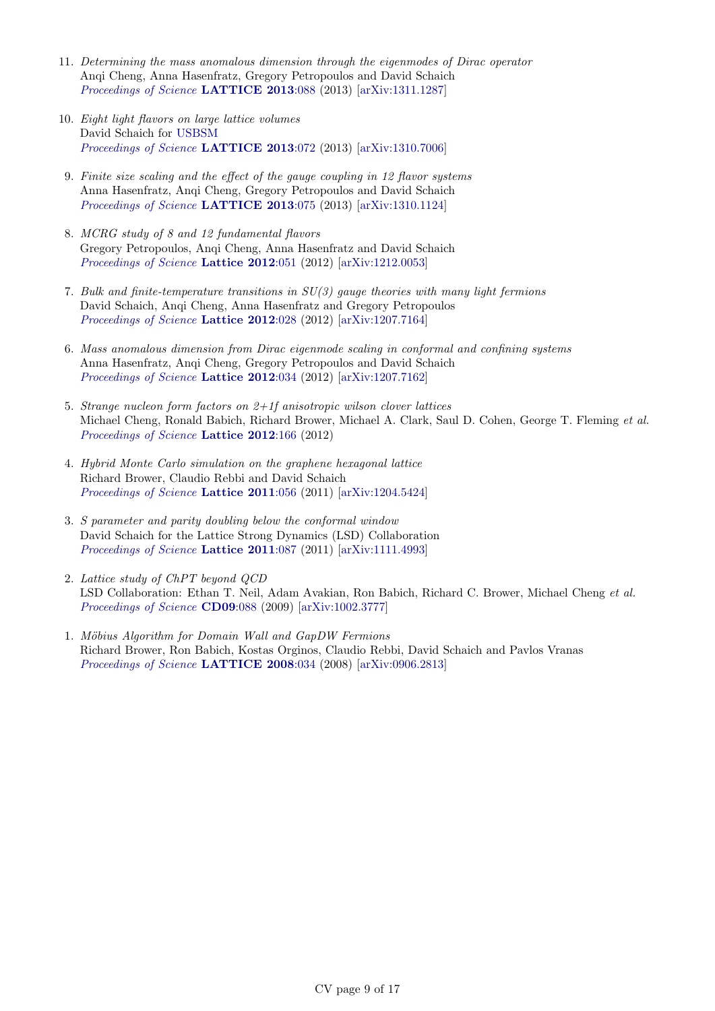- 11. Determining the mass anomalous dimension through the eigenmodes of Dirac operator Anqi Cheng, Anna Hasenfratz, Gregory Petropoulos and David Schaich [Proceedings of Science](https://doi.org/10.22323/1.187.0088) LATTICE 2013:088 (2013) [\[arXiv:1311.1287\]](http://arxiv.org/abs/1311.1287)
- 10. Eight light flavors on large lattice volumes David Schaich for [USBSM](http://bsm.physics.yale.edu) [Proceedings of Science](https://doi.org/10.22323/1.187.0072) LATTICE 2013:072 (2013) [\[arXiv:1310.7006\]](http://arxiv.org/abs/1310.7006)
- 9. Finite size scaling and the effect of the gauge coupling in 12 flavor systems Anna Hasenfratz, Anqi Cheng, Gregory Petropoulos and David Schaich [Proceedings of Science](https://doi.org/10.22323/1.187.0075) LATTICE 2013:075 (2013) [\[arXiv:1310.1124\]](http://arxiv.org/abs/1310.1124)
- 8. MCRG study of 8 and 12 fundamental flavors Gregory Petropoulos, Anqi Cheng, Anna Hasenfratz and David Schaich [Proceedings of Science](https://doi.org/10.22323/1.164.0051) Lattice 2012:051 (2012) [\[arXiv:1212.0053\]](http://arxiv.org/abs/1212.0053)
- 7. Bulk and finite-temperature transitions in SU(3) gauge theories with many light fermions David Schaich, Anqi Cheng, Anna Hasenfratz and Gregory Petropoulos [Proceedings of Science](https://doi.org/10.22323/1.164.0028) Lattice 2012:028 (2012) [\[arXiv:1207.7164\]](http://arxiv.org/abs/1207.7164)
- 6. Mass anomalous dimension from Dirac eigenmode scaling in conformal and confining systems Anna Hasenfratz, Anqi Cheng, Gregory Petropoulos and David Schaich [Proceedings of Science](https://doi.org/10.22323/1.164.0034) Lattice 2012:034 (2012) [\[arXiv:1207.7162\]](http://arxiv.org/abs/1207.7162)
- 5. Strange nucleon form factors on 2+1f anisotropic wilson clover lattices Michael Cheng, Ronald Babich, Richard Brower, Michael A. Clark, Saul D. Cohen, George T. Fleming et al. [Proceedings of Science](https://doi.org/10.22323/1.164.0166) Lattice 2012:166 (2012)
- 4. Hybrid Monte Carlo simulation on the graphene hexagonal lattice Richard Brower, Claudio Rebbi and David Schaich [Proceedings of Science](https://doi.org/10.22323/1.139.0056) Lattice 2011:056 (2011) [\[arXiv:1204.5424\]](http://arxiv.org/abs/1204.5424)
- 3. S parameter and parity doubling below the conformal window David Schaich for the Lattice Strong Dynamics (LSD) Collaboration [Proceedings of Science](https://doi.org/10.22323/1.139.0087) Lattice 2011:087 (2011) [\[arXiv:1111.4993\]](http://arxiv.org/abs/1111.4993)
- 2. Lattice study of ChPT beyond QCD LSD Collaboration: Ethan T. Neil, Adam Avakian, Ron Babich, Richard C. Brower, Michael Cheng et al. [Proceedings of Science](https://doi.org/10.22323/1.086.0088) CD09:088 (2009) [\[arXiv:1002.3777\]](http://arxiv.org/abs/1002.3777)
- 1. Möbius Algorithm for Domain Wall and GapDW Fermions Richard Brower, Ron Babich, Kostas Orginos, Claudio Rebbi, David Schaich and Pavlos Vranas [Proceedings of Science](https://doi.org/10.22323/1.066.0034) LATTICE 2008:034 (2008) [\[arXiv:0906.2813\]](http://arxiv.org/abs/0906.2813)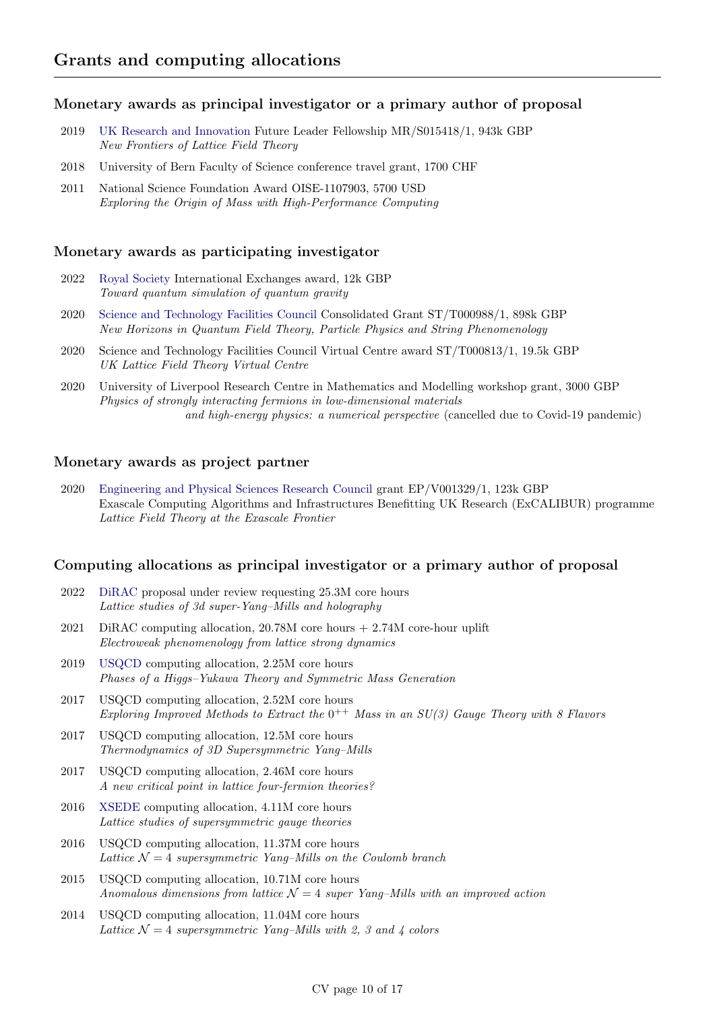#### Monetary awards as principal investigator or a primary author of proposal

- 2019 [UK Research and Innovation](https://www.ukri.org) Future Leader Fellowship MR/S015418/1, 943k GBP New Frontiers of Lattice Field Theory
- 2018 University of Bern Faculty of Science conference travel grant, 1700 CHF
- 2011 National Science Foundation Award OISE-1107903, 5700 USD Exploring the Origin of Mass with High-Performance Computing

#### Monetary awards as participating investigator

- 2022 [Royal Society](https://royalsociety.org) International Exchanges award, 12k GBP Toward quantum simulation of quantum gravity
- 2020 [Science and Technology Facilities Council](https://stfc.ukri.org) Consolidated Grant ST/T000988/1, 898k GBP New Horizons in Quantum Field Theory, Particle Physics and String Phenomenology
- 2020 Science and Technology Facilities Council Virtual Centre award ST/T000813/1, 19.5k GBP UK Lattice Field Theory Virtual Centre
- 2020 University of Liverpool Research Centre in Mathematics and Modelling workshop grant, 3000 GBP Physics of strongly interacting fermions in low-dimensional materials and high-energy physics: a numerical perspective (cancelled due to Covid-19 pandemic)

#### Monetary awards as project partner

2020 [Engineering and Physical Sciences Research Council](https://epsrc.ukri.org) grant EP/V001329/1, 123k GBP Exascale Computing Algorithms and Infrastructures Benefitting UK Research (ExCALIBUR) programme Lattice Field Theory at the Exascale Frontier

#### Computing allocations as principal investigator or a primary author of proposal

- 2022 [DiRAC](https://dirac.ac.uk) proposal under review requesting 25.3M core hours Lattice studies of 3d super-Yang–Mills and holography
- 2021 DiRAC computing allocation, 20.78M core hours + 2.74M core-hour uplift Electroweak phenomenology from lattice strong dynamics
- 2019 [USQCD](http://www.usqcd.org) computing allocation, 2.25M core hours Phases of a Higgs–Yukawa Theory and Symmetric Mass Generation
- 2017 USQCD computing allocation, 2.52M core hours Exploring Improved Methods to Extract the  $0^{++}$  Mass in an  $SU(3)$  Gauge Theory with 8 Flavors
- 2017 USQCD computing allocation, 12.5M core hours Thermodynamics of 3D Supersymmetric Yang–Mills
- 2017 USQCD computing allocation, 2.46M core hours A new critical point in lattice four-fermion theories?
- 2016 [XSEDE](http://www.xsede.org) computing allocation, 4.11M core hours Lattice studies of supersymmetric gauge theories
- 2016 USQCD computing allocation, 11.37M core hours Lattice  $\mathcal{N} = 4$  supersymmetric Yang–Mills on the Coulomb branch
- 2015 USQCD computing allocation, 10.71M core hours Anomalous dimensions from lattice  $\mathcal{N}=4$  super Yang–Mills with an improved action
- 2014 USQCD computing allocation, 11.04M core hours Lattice  $\mathcal{N} = 4$  supersymmetric Yang–Mills with 2, 3 and 4 colors

#### CV page 10 of 17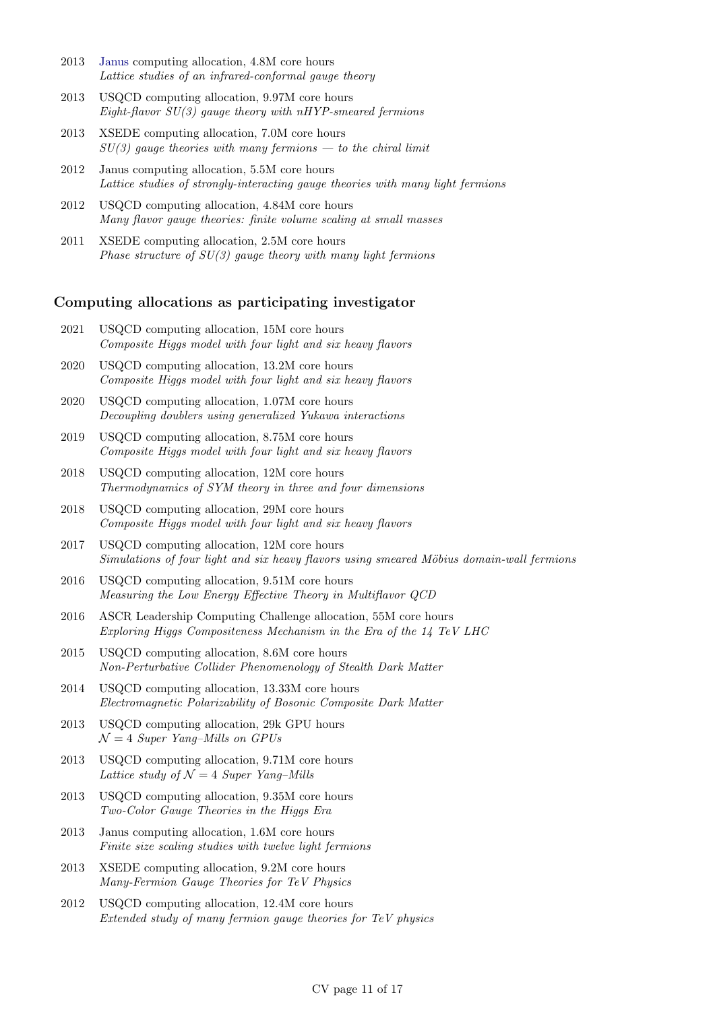- 2013 [Janus](https://www.top500.org/system/176922) computing allocation, 4.8M core hours Lattice studies of an infrared-conformal gauge theory
- 2013 USQCD computing allocation, 9.97M core hours Eight-flavor  $SU(3)$  gauge theory with nHYP-smeared fermions
- 2013 XSEDE computing allocation, 7.0M core hours  $SU(3)$  gauge theories with many fermions — to the chiral limit
- 2012 Janus computing allocation, 5.5M core hours Lattice studies of strongly-interacting gauge theories with many light fermions
- 2012 USQCD computing allocation, 4.84M core hours Many flavor gauge theories: finite volume scaling at small masses
- 2011 XSEDE computing allocation, 2.5M core hours Phase structure of  $SU(3)$  gauge theory with many light fermions

#### Computing allocations as participating investigator

- 2021 USQCD computing allocation, 15M core hours Composite Higgs model with four light and six heavy flavors
- 2020 USQCD computing allocation, 13.2M core hours Composite Higgs model with four light and six heavy flavors
- 2020 USQCD computing allocation, 1.07M core hours Decoupling doublers using generalized Yukawa interactions
- 2019 USQCD computing allocation, 8.75M core hours Composite Higgs model with four light and six heavy flavors
- 2018 USQCD computing allocation, 12M core hours Thermodynamics of SYM theory in three and four dimensions
- 2018 USQCD computing allocation, 29M core hours Composite Higgs model with four light and six heavy flavors
- 2017 USQCD computing allocation, 12M core hours Simulations of four light and six heavy flavors using smeared Möbius domain-wall fermions
- 2016 USQCD computing allocation, 9.51M core hours Measuring the Low Energy Effective Theory in Multiflavor QCD
- 2016 ASCR Leadership Computing Challenge allocation, 55M core hours Exploring Higgs Compositeness Mechanism in the Era of the 14 TeV LHC
- 2015 USQCD computing allocation, 8.6M core hours Non-Perturbative Collider Phenomenology of Stealth Dark Matter
- 2014 USQCD computing allocation, 13.33M core hours Electromagnetic Polarizability of Bosonic Composite Dark Matter
- 2013 USQCD computing allocation, 29k GPU hours  $\mathcal{N}=4$  Super Yang–Mills on GPUs
- 2013 USQCD computing allocation, 9.71M core hours Lattice study of  $\mathcal{N} = 4$  Super Yang–Mills
- 2013 USQCD computing allocation, 9.35M core hours Two-Color Gauge Theories in the Higgs Era
- 2013 Janus computing allocation, 1.6M core hours Finite size scaling studies with twelve light fermions
- 2013 XSEDE computing allocation, 9.2M core hours Many-Fermion Gauge Theories for TeV Physics
- 2012 USQCD computing allocation, 12.4M core hours Extended study of many fermion gauge theories for TeV physics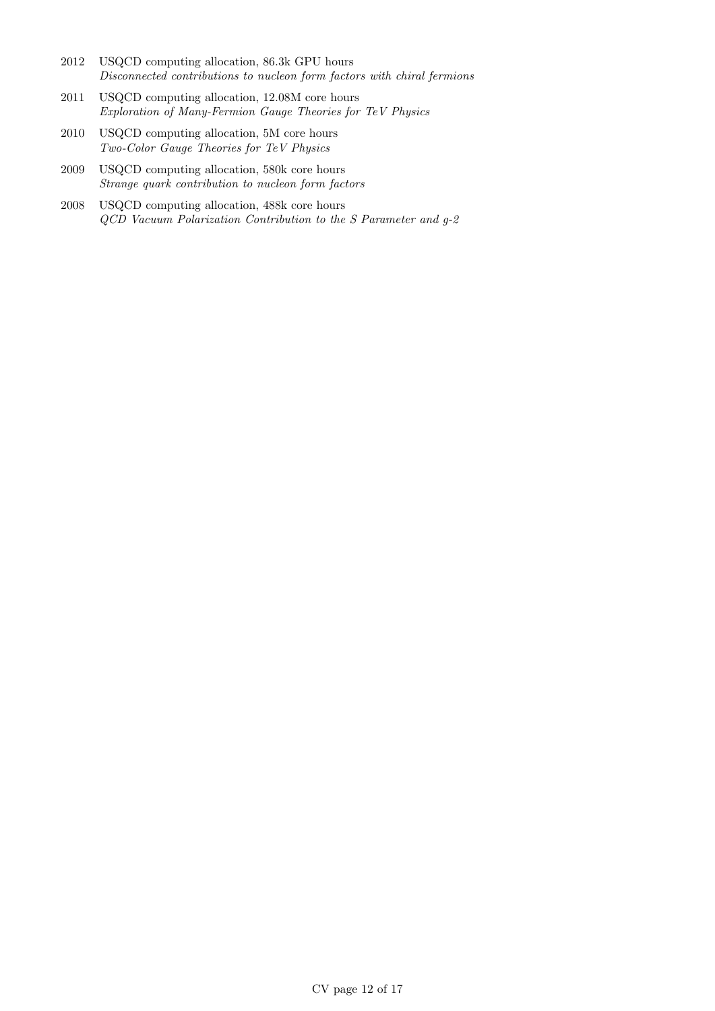- 2012 USQCD computing allocation, 86.3k GPU hours Disconnected contributions to nucleon form factors with chiral fermions
- 2011 USQCD computing allocation, 12.08M core hours Exploration of Many-Fermion Gauge Theories for TeV Physics
- 2010 USQCD computing allocation, 5M core hours Two-Color Gauge Theories for TeV Physics
- 2009 USQCD computing allocation, 580k core hours Strange quark contribution to nucleon form factors
- 2008 USQCD computing allocation, 488k core hours QCD Vacuum Polarization Contribution to the S Parameter and g-2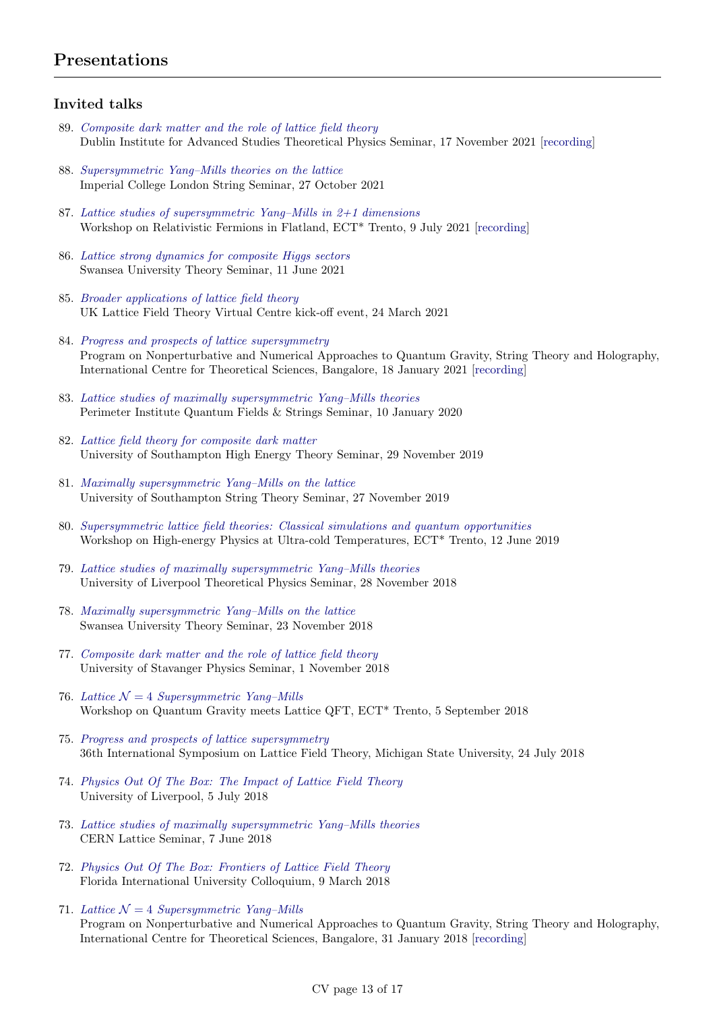## Presentations

## Invited talks

- 89. [Composite dark matter and the role of lattice field theory](http://www.davidschaich.net/talks/2111Dublin.pdf) Dublin Institute for Advanced Studies Theoretical Physics Seminar, 17 November 2021 [\[recording\]](https://www.youtube.com/watch?v=WdKbw142Oyg)
- 88. [Supersymmetric Yang–Mills theories on the lattice](http://www.davidschaich.net/talks/2110Imperial.pdf) Imperial College London String Seminar, 27 October 2021
- 87. [Lattice studies of supersymmetric Yang–Mills in 2+1 dimensions](http://www.davidschaich.net/talks/2107ECT.pdf) Workshop on Relativistic Fermions in Flatland, ECT\* Trento, 9 July 2021 [\[recording\]](https://www.youtube.com/watch?v=8ADzjGS2n8Q&t=2900s)
- 86. [Lattice strong dynamics for composite Higgs sectors](http://www.davidschaich.net/talks/2106Swansea.pdf) Swansea University Theory Seminar, 11 June 2021
- 85. [Broader applications of lattice field theory](http://www.davidschaich.net/talks/2103UKLFT.pdf) UK Lattice Field Theory Virtual Centre kick-off event, 24 March 2021
- 84. [Progress and prospects of lattice supersymmetry](http://www.davidschaich.net/talks/2101Bangalore.pdf) Program on Nonperturbative and Numerical Approaches to Quantum Gravity, String Theory and Holography, International Centre for Theoretical Sciences, Bangalore, 18 January 2021 [\[recording\]](https://www.youtube.com/watch?v=F11ubzWoHAc)
- 83. [Lattice studies of maximally supersymmetric Yang–Mills theories](http://www.davidschaich.net/talks/2001Perimeter.pdf) Perimeter Institute Quantum Fields & Strings Seminar, 10 January 2020
- 82. [Lattice field theory for composite dark matter](http://www.davidschaich.net/talks/1911Soton_DM.pdf) University of Southampton High Energy Theory Seminar, 29 November 2019
- 81. [Maximally supersymmetric Yang–Mills on the lattice](http://www.davidschaich.net/talks/1911Soton_susy.pdf) University of Southampton String Theory Seminar, 27 November 2019
- 80. [Supersymmetric lattice field theories: Classical simulations and quantum opportunities](http://www.davidschaich.net/talks/1906ECT.pdf) Workshop on High-energy Physics at Ultra-cold Temperatures, ECT\* Trento, 12 June 2019
- 79. [Lattice studies of maximally supersymmetric Yang–Mills theories](http://www.davidschaich.net/talks/1811Liverpool.pdf) University of Liverpool Theoretical Physics Seminar, 28 November 2018
- 78. [Maximally supersymmetric Yang–Mills on the lattice](http://www.davidschaich.net/talks/1811Swansea.pdf) Swansea University Theory Seminar, 23 November 2018
- 77. [Composite dark matter and the role of lattice field theory](http://www.davidschaich.net/talks/1811Stavanger.pdf) University of Stavanger Physics Seminar, 1 November 2018
- 76. Lattice  $\mathcal{N} = 4$  Supersymmetric Yang-Mills Workshop on Quantum Gravity meets Lattice QFT, ECT\* Trento, 5 September 2018
- 75. [Progress and prospects of lattice supersymmetry](http://www.davidschaich.net/talks/1807Lattice.pdf) 36th International Symposium on Lattice Field Theory, Michigan State University, 24 July 2018
- 74. [Physics Out Of The Box: The Impact of Lattice Field Theory](http://www.davidschaich.net/talks/1807Liverpool.pdf) University of Liverpool, 5 July 2018
- 73. [Lattice studies of maximally supersymmetric Yang–Mills theories](http://www.davidschaich.net/talks/1806CERN.pdf) CERN Lattice Seminar, 7 June 2018
- 72. [Physics Out Of The Box: Frontiers of Lattice Field Theory](http://www.davidschaich.net/talks/1803FIU.pdf) Florida International University Colloquium, 9 March 2018
- 71. Lattice  $\mathcal{N} = 4$  Supersymmetric Yang-Mills Program on Nonperturbative and Numerical Approaches to Quantum Gravity, String Theory and Holography, International Centre for Theoretical Sciences, Bangalore, 31 January 2018 [\[recording\]](https://www.youtube.com/watch?v=8M6AmatQLkk)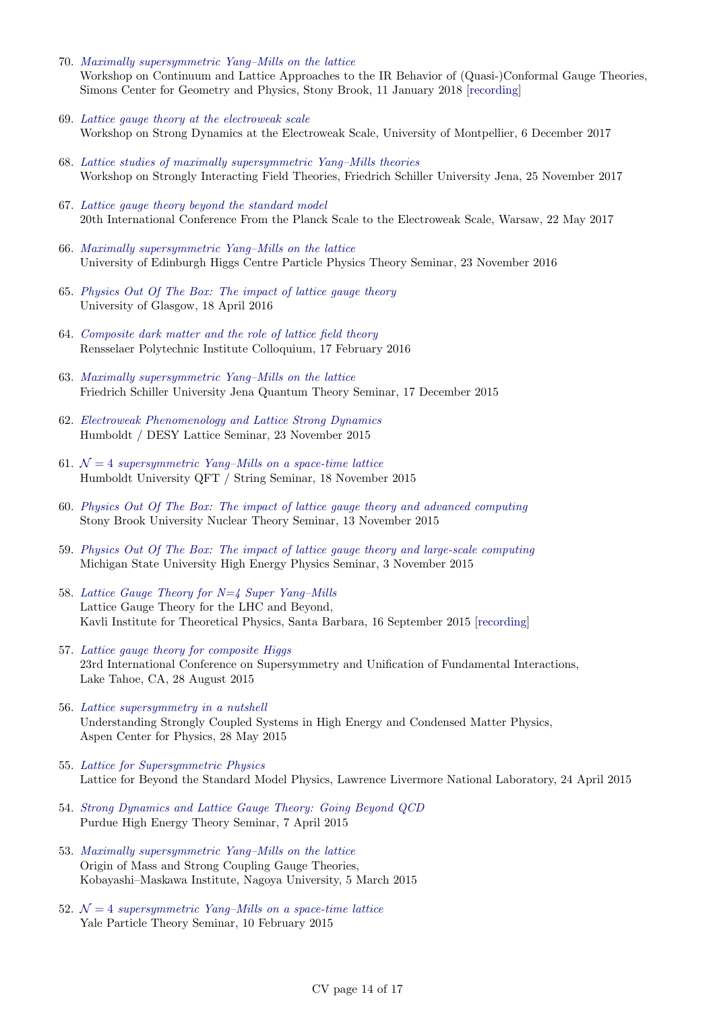- 70. [Maximally supersymmetric Yang–Mills on the lattice](http://www.davidschaich.net/talks/1801StonyBrook.pdf) Workshop on Continuum and Lattice Approaches to the IR Behavior of (Quasi-)Conformal Gauge Theories, Simons Center for Geometry and Physics, Stony Brook, 11 January 2018 [\[recording\]](http://scgp.stonybrook.edu/video_portal/video.php?id=3516)
- 69. [Lattice gauge theory at the electroweak scale](http://www.davidschaich.net/talks/1712Montpellier.pdf) Workshop on Strong Dynamics at the Electroweak Scale, University of Montpellier, 6 December 2017
- 68. [Lattice studies of maximally supersymmetric Yang–Mills theories](http://www.davidschaich.net/talks/1711Jena.pdf) Workshop on Strongly Interacting Field Theories, Friedrich Schiller University Jena, 25 November 2017
- 67. [Lattice gauge theory beyond the standard model](http://www.davidschaich.net/talks/1705Planck.pdf) 20th International Conference From the Planck Scale to the Electroweak Scale, Warsaw, 22 May 2017
- 66. [Maximally supersymmetric Yang–Mills on the lattice](http://www.davidschaich.net/talks/1611Edinburgh.pdf) University of Edinburgh Higgs Centre Particle Physics Theory Seminar, 23 November 2016
- 65. [Physics Out Of The Box: The impact of lattice gauge theory](http://www.davidschaich.net/talks/1604Glasgow.pdf) University of Glasgow, 18 April 2016
- 64. [Composite dark matter and the role of lattice field theory](http://www.davidschaich.net/talks/1602RPI.pdf) Rensselaer Polytechnic Institute Colloquium, 17 February 2016
- 63. [Maximally supersymmetric Yang–Mills on the lattice](http://www.davidschaich.net/talks/1512Jena.pdf) Friedrich Schiller University Jena Quantum Theory Seminar, 17 December 2015
- 62. [Electroweak Phenomenology and Lattice Strong Dynamics](http://www.davidschaich.net/talks/151123Humboldt.pdf) Humboldt / DESY Lattice Seminar, 23 November 2015
- 61.  $\mathcal{N}=4$  [supersymmetric Yang–Mills on a space-time lattice](http://www.davidschaich.net/talks/151118Humboldt.pdf) Humboldt University QFT / String Seminar, 18 November 2015
- 60. [Physics Out Of The Box: The impact of lattice gauge theory and advanced computing](http://www.davidschaich.net/talks/1511StonyBrook.pdf) Stony Brook University Nuclear Theory Seminar, 13 November 2015
- 59. [Physics Out Of The Box: The impact of lattice gauge theory and large-scale computing](http://www.davidschaich.net/talks/1511MSU.pdf) Michigan State University High Energy Physics Seminar, 3 November 2015
- 58. [Lattice Gauge Theory for N=4 Super Yang–Mills](http://www.davidschaich.net/talks/1509KITP.pdf) Lattice Gauge Theory for the LHC and Beyond, Kavli Institute for Theoretical Physics, Santa Barbara, 16 September 2015 [\[recording\]](http://online.kitp.ucsb.edu/online/latticeqcd15/schaich/)
- 57. [Lattice gauge theory for composite Higgs](http://www.davidschaich.net/talks/LGT4CH.pdf) 23rd International Conference on Supersymmetry and Unification of Fundamental Interactions, Lake Tahoe, CA, 28 August 2015
- 56. [Lattice supersymmetry in a nutshell](http://www.davidschaich.net/talks/Aspen15.pdf) Understanding Strongly Coupled Systems in High Energy and Condensed Matter Physics, Aspen Center for Physics, 28 May 2015
- 55. [Lattice for Supersymmetric Physics](http://www.davidschaich.net/talks/Livermore1504.pdf) Lattice for Beyond the Standard Model Physics, Lawrence Livermore National Laboratory, 24 April 2015
- 54. [Strong Dynamics and Lattice Gauge Theory: Going Beyond QCD](http://www.davidschaich.net/talks/Purdue1504.pdf) Purdue High Energy Theory Seminar, 7 April 2015
- 53. [Maximally supersymmetric Yang–Mills on the lattice](http://www.davidschaich.net/talks/SCGT15.pdf) Origin of Mass and Strong Coupling Gauge Theories, Kobayashi–Maskawa Institute, Nagoya University, 5 March 2015
- 52.  $\mathcal{N}=4$  [supersymmetric Yang–Mills on a space-time lattice](http://www.davidschaich.net/talks/Yale1502.pdf) Yale Particle Theory Seminar, 10 February 2015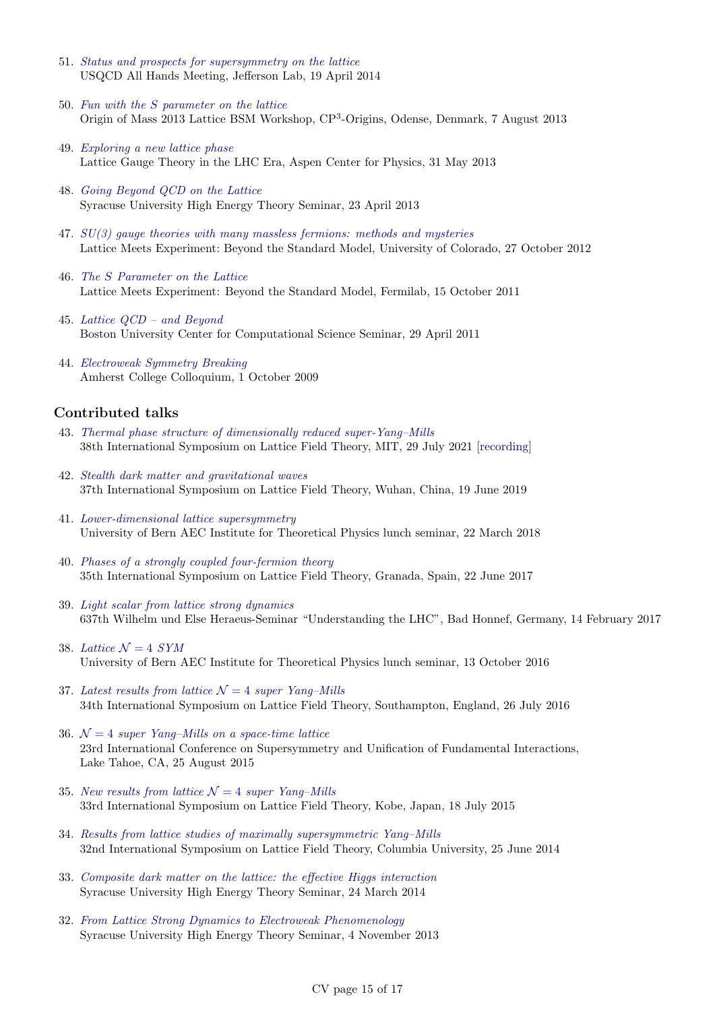- 51. [Status and prospects for supersymmetry on the lattice](http://www.davidschaich.net/talks/USQCD14.pdf) USQCD All Hands Meeting, Jefferson Lab, 19 April 2014
- 50. Fun with the S [parameter on the lattice](http://www.davidschaich.net/talks/Mass13.pdf) Origin of Mass 2013 Lattice BSM Workshop, CP<sup>3</sup> -Origins, Odense, Denmark, 7 August 2013
- 49. [Exploring a new lattice phase](http://www.davidschaich.net/talks/Aspen13.pdf) Lattice Gauge Theory in the LHC Era, Aspen Center for Physics, 31 May 2013
- 48. [Going Beyond QCD on the Lattice](http://www.davidschaich.net/talks/SU1304.pdf) Syracuse University High Energy Theory Seminar, 23 April 2013
- 47.  $SU(3)$  gauge theories with many massless fermions: methods and mysteries Lattice Meets Experiment: Beyond the Standard Model, University of Colorado, 27 October 2012
- 46. The S [Parameter on the Lattice](http://www.davidschaich.net/talks/LME2011.pdf) Lattice Meets Experiment: Beyond the Standard Model, Fermilab, 15 October 2011
- 45. [Lattice QCD and Beyond](http://www.davidschaich.net/talks/1104CCS.pdf) Boston University Center for Computational Science Seminar, 29 April 2011
- 44. [Electroweak Symmetry Breaking](http://www.davidschaich.net/talks/EWSB.pdf) Amherst College Colloquium, 1 October 2009

#### Contributed talks

- 43. [Thermal phase structure of dimensionally reduced super-Yang–Mills](http://www.davidschaich.net/talks/2107Lattice.pdf) 38th International Symposium on Lattice Field Theory, MIT, 29 July 2021 [\[recording\]](https://mit.hosted.panopto.com/Panopto/Pages/Viewer.aspx?id=64ee6f58-a5fb-4c8d-89d6-ad7401401fc2)
- 42. [Stealth dark matter and gravitational waves](http://www.davidschaich.net/talks/1906Lattice.pdf) 37th International Symposium on Lattice Field Theory, Wuhan, China, 19 June 2019
- 41. [Lower-dimensional lattice supersymmetry](http://www.davidschaich.net/talks/1803Bern.pdf) University of Bern AEC Institute for Theoretical Physics lunch seminar, 22 March 2018
- 40. [Phases of a strongly coupled four-fermion theory](http://www.davidschaich.net/talks/lattice17.pdf) 35th International Symposium on Lattice Field Theory, Granada, Spain, 22 June 2017
- 39. [Light scalar from lattice strong dynamics](http://www.davidschaich.net/talks/1702BadHonnef.pdf) 637th Wilhelm und Else Heraeus-Seminar "Understanding the LHC", Bad Honnef, Germany, 14 February 2017
- 38. [Lattice](http://www.davidschaich.net/talks/latticeN4_Bern.pdf)  $\mathcal{N} = 4$  SYM University of Bern AEC Institute for Theoretical Physics lunch seminar, 13 October 2016
- 37. [Latest results from lattice](http://www.davidschaich.net/talks/lattice16.pdf)  $\mathcal{N}=4$  super Yang–Mills 34th International Symposium on Lattice Field Theory, Southampton, England, 26 July 2016
- 36.  $\mathcal{N}=4$  [super Yang–Mills on a space-time lattice](http://www.davidschaich.net/talks/SUSY15.pdf) 23rd International Conference on Supersymmetry and Unification of Fundamental Interactions, Lake Tahoe, CA, 25 August 2015
- 35. [New results from lattice](http://www.davidschaich.net/talks/lattice15.pdf)  $\mathcal{N}=4$  super Yang–Mills 33rd International Symposium on Lattice Field Theory, Kobe, Japan, 18 July 2015
- 34. [Results from lattice studies of maximally supersymmetric Yang–Mills](http://www.davidschaich.net/talks/lattice14.pdf) 32nd International Symposium on Lattice Field Theory, Columbia University, 25 June 2014
- 33. [Composite dark matter on the lattice: the effective Higgs interaction](http://www.davidschaich.net/talks/LSD_SU4_1403.pdf) Syracuse University High Energy Theory Seminar, 24 March 2014
- 32. [From Lattice Strong Dynamics to Electroweak Phenomenology](http://www.davidschaich.net/talks/LSD_EFT13.pdf) Syracuse University High Energy Theory Seminar, 4 November 2013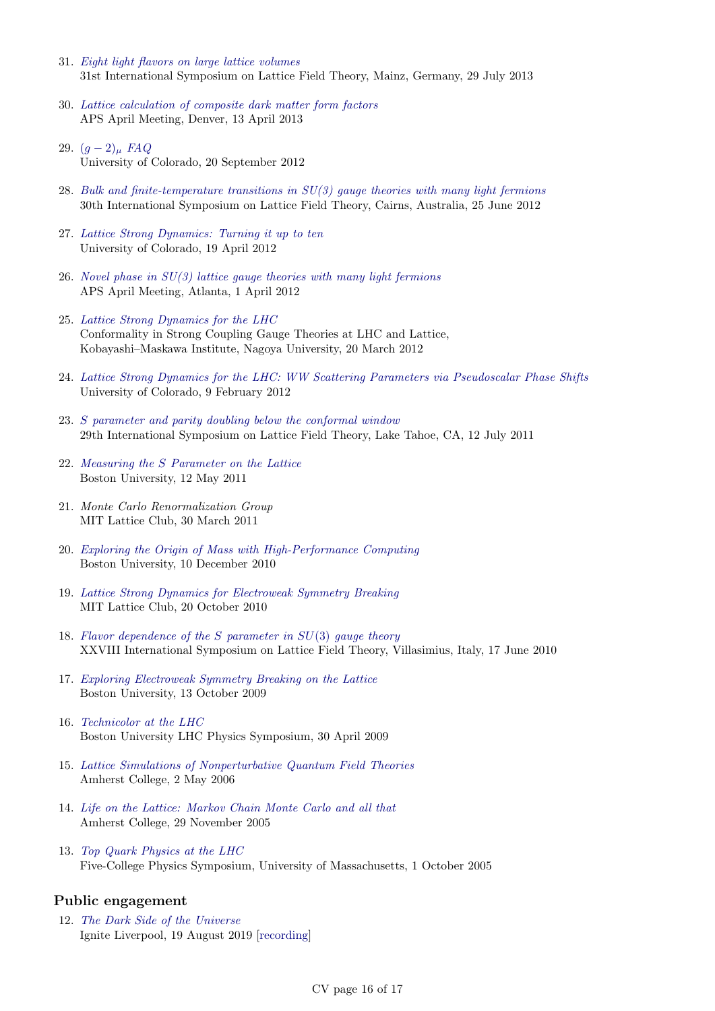- 31. [Eight light flavors on large lattice volumes](http://www.davidschaich.net/talks/lattice13.pdf) 31st International Symposium on Lattice Field Theory, Mainz, Germany, 29 July 2013
- 30. [Lattice calculation of composite dark matter form factors](http://www.davidschaich.net/talks/April13.pdf) APS April Meeting, Denver, 13 April 2013
- 29.  $(g-2)_{\mu}$  [FAQ](http://www.davidschaich.net/talks/g-2_1209.pdf) University of Colorado, 20 September 2012
- 28. [Bulk and finite-temperature transitions in SU\(3\) gauge theories with many light fermions](http://www.davidschaich.net/talks/lattice12.pdf) 30th International Symposium on Lattice Field Theory, Cairns, Australia, 25 June 2012
- 27. [Lattice Strong Dynamics: Turning it up to ten](http://www.davidschaich.net/talks/LSD10f_1204.pdf) University of Colorado, 19 April 2012
- 26. Novel phase in  $SU(3)$  lattice gauge theories with many light fermions APS April Meeting, Atlanta, 1 April 2012
- 25. [Lattice Strong Dynamics for the LHC](http://www.davidschaich.net/talks/SCGT12Mini.pdf) Conformality in Strong Coupling Gauge Theories at LHC and Lattice, Kobayashi–Maskawa Institute, Nagoya University, 20 March 2012
- 24. [Lattice Strong Dynamics for the LHC: WW Scattering Parameters via Pseudoscalar Phase Shifts](http://www.davidschaich.net/talks/1202WW.pdf) University of Colorado, 9 February 2012
- 23. S [parameter and parity doubling below the conformal window](http://www.davidschaich.net/talks/Lattice11.pdf) 29th International Symposium on Lattice Field Theory, Lake Tahoe, CA, 12 July 2011
- 22. Measuring the S [Parameter on the Lattice](http://www.davidschaich.net/talks/defense.pdf) Boston University, 12 May 2011
- 21. Monte Carlo Renormalization Group MIT Lattice Club, 30 March 2011
- 20. [Exploring the Origin of Mass with High-Performance Computing](http://www.davidschaich.net/talks/BUseminar.pdf) Boston University, 10 December 2010
- 19. [Lattice Strong Dynamics for Electroweak Symmetry Breaking](http://www.davidschaich.net/talks/1010MIT.pdf) MIT Lattice Club, 20 October 2010
- 18. [Flavor dependence of the](http://www.davidschaich.net/talks/Lattice10.pdf)  $S$  parameter in  $SU(3)$  gauge theory XXVIII International Symposium on Lattice Field Theory, Villasimius, Italy, 17 June 2010
- 17. [Exploring Electroweak Symmetry Breaking on the Lattice](http://www.davidschaich.net/talks/EWSB_lattice.pdf) Boston University, 13 October 2009
- 16. [Technicolor at the LHC](http://www.davidschaich.net/talks/TC_LHC.pdf) Boston University LHC Physics Symposium, 30 April 2009
- 15. [Lattice Simulations of Nonperturbative Quantum Field Theories](http://www.davidschaich.net/talks/thesisDefense.pdf) Amherst College, 2 May 2006
- 14. [Life on the Lattice: Markov Chain Monte Carlo and all that](http://www.davidschaich.net/talks/thesisTalk.pdf) Amherst College, 29 November 2005
- 13. [Top Quark Physics at the LHC](http://www.davidschaich.net/talks/topMass.pdf) Five-College Physics Symposium, University of Massachusetts, 1 October 2005

#### Public engagement

12. [The Dark Side of the Universe](http://www.davidschaich.net/talks/1908Ignite.pdf) Ignite Liverpool, 19 August 2019 [\[recording\]](https://www.youtube.com/watch?v=KKOI831sB8U)